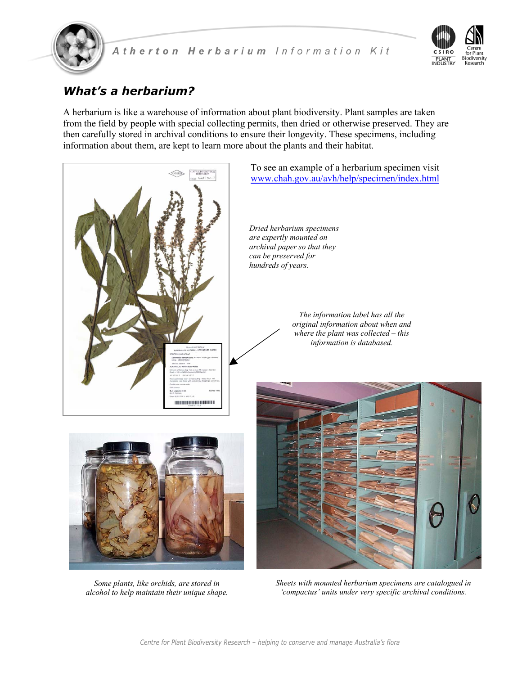



# *What's a herbarium?*

A herbarium is like a warehouse of information about plant biodiversity. Plant samples are taken from the field by people with special collecting permits, then dried or otherwise preserved. They are then carefully stored in archival conditions to ensure their longevity. These specimens, including information about them, are kept to learn more about the plants and their habitat.



*Some plants, like orchids, are stored in alcohol to help maintain their unique shape.*

*Sheets with mounted herbarium specimens are catalogued in 'compactus' units under very specific archival conditions.*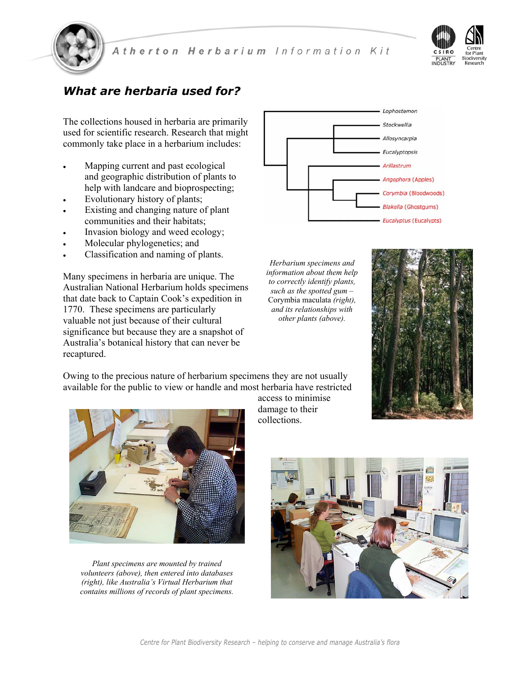



## *What are herbaria used for?*

The collections housed in herbaria are primarily used for scientific research. Research that might commonly take place in a herbarium includes:

- Mapping current and past ecological and geographic distribution of plants to help with landcare and bioprospecting;
- Evolutionary history of plants;
- Existing and changing nature of plant communities and their habitats;
- Invasion biology and weed ecology;
- Molecular phylogenetics; and
- Classification and naming of plants.

Many specimens in herbaria are unique. The Australian National Herbarium holds specimens that date back to Captain Cook's expedition in 1770. These specimens are particularly valuable not just because of their cultural significance but because they are a snapshot of Australia's botanical history that can never be recaptured.



*Herbarium specimens and information about them help to correctly identify plants, such as the spotted gum –*  Corymbia maculata *(right), and its relationships with other plants (above).* 



Owing to the precious nature of herbarium specimens they are not usually available for the public to view or handle and most herbaria have restricted



*Plant specimens are mounted by trained volunteers (above), then entered into databases (right), like Australia's Virtual Herbarium that contains millions of records of plant specimens.* 

access to minimise damage to their collections.

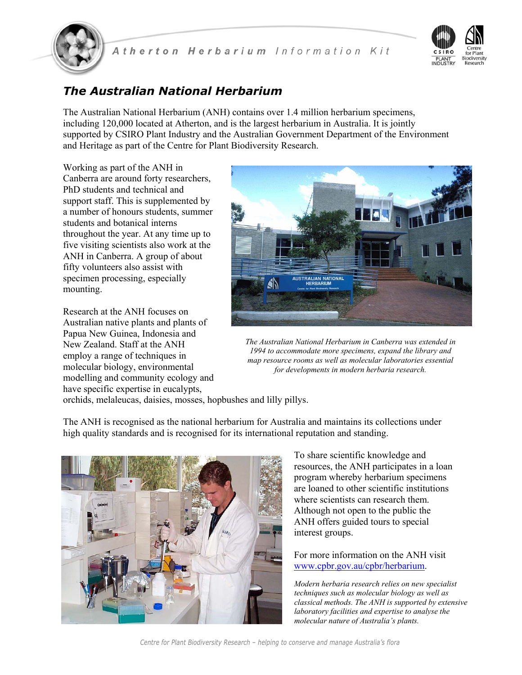



## *The Australian National Herbarium*

The Australian National Herbarium (ANH) contains over 1.4 million herbarium specimens, including 120,000 located at Atherton, and is the largest herbarium in Australia. It is jointly supported by CSIRO Plant Industry and the Australian Government Department of the Environment and Heritage as part of the Centre for Plant Biodiversity Research.

Working as part of the ANH in Canberra are around forty researchers, PhD students and technical and support staff. This is supplemented by a number of honours students, summer students and botanical interns throughout the year. At any time up to five visiting scientists also work at the ANH in Canberra. A group of about fifty volunteers also assist with specimen processing, especially mounting.

Research at the ANH focuses on Australian native plants and plants of Papua New Guinea, Indonesia and New Zealand. Staff at the ANH employ a range of techniques in molecular biology, environmental modelling and community ecology and have specific expertise in eucalypts,



*The Australian National Herbarium in Canberra was extended in 1994 to accommodate more specimens, expand the library and map resource rooms as well as molecular laboratories essential for developments in modern herbaria research.*

orchids, melaleucas, daisies, mosses, hopbushes and lilly pillys.

The ANH is recognised as the national herbarium for Australia and maintains its collections under high quality standards and is recognised for its international reputation and standing.



To share scientific knowledge and resources, the ANH participates in a loan program whereby herbarium specimens are loaned to other scientific institutions where scientists can research them. Although not open to the public the ANH offers guided tours to special interest groups.

For more information on the ANH visit www.cpbr.gov.au/cpbr/herbarium.

*Modern herbaria research relies on new specialist techniques such as molecular biology as well as classical methods. The ANH is supported by extensive laboratory facilities and expertise to analyse the molecular nature of Australia's plants.*

*Centre for Plant Biodiversity Research – helping to conserve and manage Australia's flora*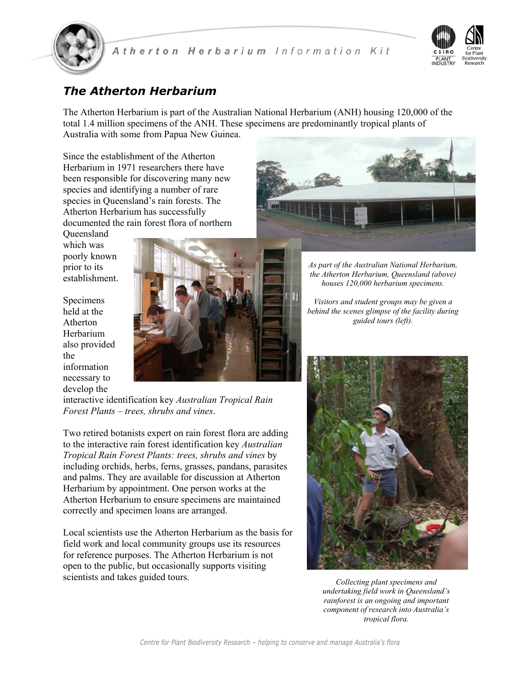



### *The Atherton Herbarium*

The Atherton Herbarium is part of the Australian National Herbarium (ANH) housing 120,000 of the total 1.4 million specimens of the ANH. These specimens are predominantly tropical plants of Australia with some from Papua New Guinea.

Since the establishment of the Atherton Herbarium in 1971 researchers there have been responsible for discovering many new species and identifying a number of rare species in Queensland's rain forests. The Atherton Herbarium has successfully documented the rain forest flora of northern

**Oueensland** which was poorly known prior to its establishment.

Specimens held at the Atherton Herbarium also provided the information necessary to develop the





*As part of the Australian National Herbarium, the Atherton Herbarium, Queensland (above) houses 120,000 herbarium specimens.* 

*Visitors and student groups may be given a behind the scenes glimpse of the facility during guided tours (left).* 

interactive identification key *Australian Tropical Rain Forest Plants – trees, shrubs and vines*.

Two retired botanists expert on rain forest flora are adding to the interactive rain forest identification key *Australian Tropical Rain Forest Plants: trees, shrubs and vines* by including orchids, herbs, ferns, grasses, pandans, parasites and palms. They are available for discussion at Atherton Herbarium by appointment. One person works at the Atherton Herbarium to ensure specimens are maintained correctly and specimen loans are arranged.

Local scientists use the Atherton Herbarium as the basis for field work and local community groups use its resources for reference purposes. The Atherton Herbarium is not open to the public, but occasionally supports visiting scientists and takes guided tours.



*Collecting plant specimens and undertaking field work in Queensland's rainforest is an ongoing and important component of research into Australia's tropical flora.*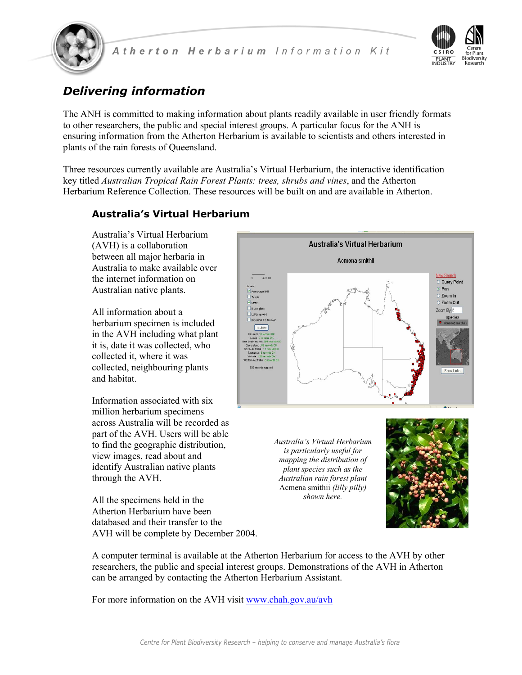



# *Delivering information*

The ANH is committed to making information about plants readily available in user friendly formats to other researchers, the public and special interest groups. A particular focus for the ANH is ensuring information from the Atherton Herbarium is available to scientists and others interested in plants of the rain forests of Queensland.

Three resources currently available are Australia's Virtual Herbarium, the interactive identification key titled *Australian Tropical Rain Forest Plants: trees, shrubs and vines*, and the Atherton Herbarium Reference Collection. These resources will be built on and are available in Atherton.

### **Australia's Virtual Herbarium**

Australia's Virtual Herbarium (AVH) is a collaboration between all major herbaria in Australia to make available over the internet information on Australian native plants.

All information about a herbarium specimen is included in the AVH including what plant it is, date it was collected, who collected it, where it was collected, neighbouring plants and habitat.

Information associated with six million herbarium specimens across Australia will be recorded as part of the AVH. Users will be able to find the geographic distribution, view images, read about and identify Australian native plants through the AVH.

All the specimens held in the Atherton Herbarium have been databased and their transfer to the AVH will be complete by December 2004.



For more information on the AVH visit www.chah.gov.au/avh

can be arranged by contacting the Atherton Herbarium Assistant.



*Australia's Virtual Herbarium is particularly useful for mapping the distribution of plant species such as the Australian rain forest plant*  Acmena smithii *(lilly pilly) shown here.* 

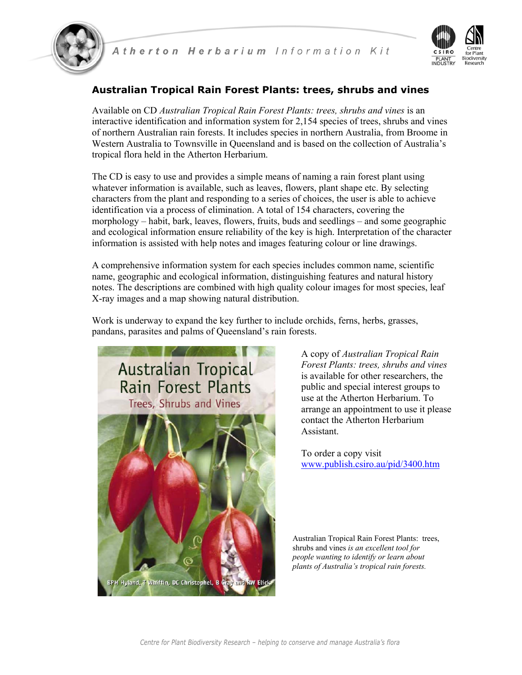



### **Australian Tropical Rain Forest Plants: trees, shrubs and vines**

Available on CD *Australian Tropical Rain Forest Plants: trees, shrubs and vines* is an interactive identification and information system for 2,154 species of trees, shrubs and vines of northern Australian rain forests. It includes species in northern Australia, from Broome in Western Australia to Townsville in Queensland and is based on the collection of Australia's tropical flora held in the Atherton Herbarium.

The CD is easy to use and provides a simple means of naming a rain forest plant using whatever information is available, such as leaves, flowers, plant shape etc. By selecting characters from the plant and responding to a series of choices, the user is able to achieve identification via a process of elimination. A total of 154 characters, covering the morphology – habit, bark, leaves, flowers, fruits, buds and seedlings – and some geographic and ecological information ensure reliability of the key is high. Interpretation of the character information is assisted with help notes and images featuring colour or line drawings.

A comprehensive information system for each species includes common name, scientific name, geographic and ecological information, distinguishing features and natural history notes. The descriptions are combined with high quality colour images for most species, leaf X-ray images and a map showing natural distribution.

Work is underway to expand the key further to include orchids, ferns, herbs, grasses, pandans, parasites and palms of Queensland's rain forests.



A copy of *Australian Tropical Rain Forest Plants: trees, shrubs and vines* is available for other researchers, the public and special interest groups to use at the Atherton Herbarium. To arrange an appointment to use it please contact the Atherton Herbarium Assistant.

To order a copy visit www.publish.csiro.au/pid/3400.htm

Australian Tropical Rain Forest Plants: trees, shrubs and vines *is an excellent tool for people wanting to identify or learn about plants of Australia's tropical rain forests.*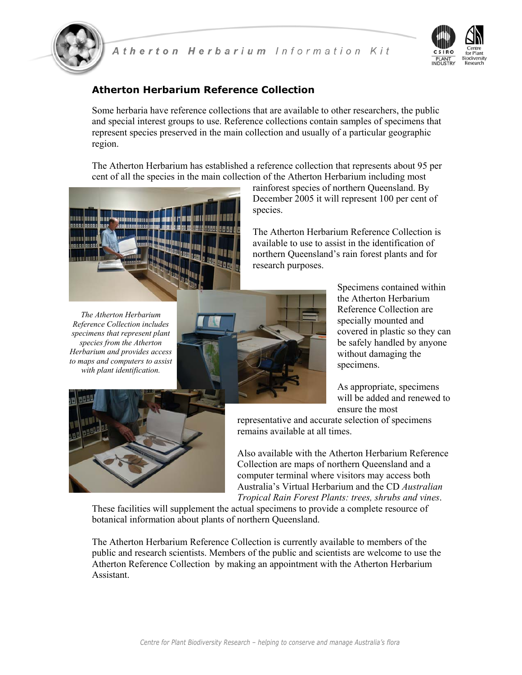



### **Atherton Herbarium Reference Collection**

Some herbaria have reference collections that are available to other researchers, the public and special interest groups to use. Reference collections contain samples of specimens that represent species preserved in the main collection and usually of a particular geographic region.

The Atherton Herbarium has established a reference collection that represents about 95 per cent of all the species in the main collection of the Atherton Herbarium including most



rainforest species of northern Queensland. By December 2005 it will represent 100 per cent of species.

The Atherton Herbarium Reference Collection is available to use to assist in the identification of northern Queensland's rain forest plants and for research purposes.

*The Atherton Herbarium Reference Collection includes specimens that represent plant species from the Atherton Herbarium and provides access to maps and computers to assist with plant identification.* 



Specimens contained within the Atherton Herbarium Reference Collection are specially mounted and covered in plastic so they can be safely handled by anyone without damaging the specimens.

As appropriate, specimens will be added and renewed to ensure the most

representative and accurate selection of specimens remains available at all times.

Also available with the Atherton Herbarium Reference Collection are maps of northern Queensland and a computer terminal where visitors may access both Australia's Virtual Herbarium and the CD *Australian Tropical Rain Forest Plants: trees, shrubs and vines*.

These facilities will supplement the actual specimens to provide a complete resource of botanical information about plants of northern Queensland.

The Atherton Herbarium Reference Collection is currently available to members of the public and research scientists. Members of the public and scientists are welcome to use the Atherton Reference Collection by making an appointment with the Atherton Herbarium Assistant.